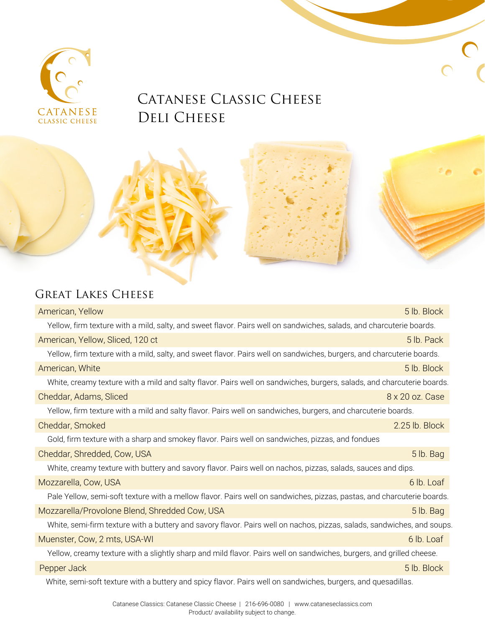

## CATANESE CLASSIC CHEESE DELI CHEESE

## GREAT LAKES CHEESE

| American, Yellow                                                                                                        | 5 lb. Block     |
|-------------------------------------------------------------------------------------------------------------------------|-----------------|
| Yellow, firm texture with a mild, salty, and sweet flavor. Pairs well on sandwiches, salads, and charcuterie boards.    |                 |
| American, Yellow, Sliced, 120 ct                                                                                        | 5 lb. Pack      |
| Yellow, firm texture with a mild, salty, and sweet flavor. Pairs well on sandwiches, burgers, and charcuterie boards.   |                 |
| American, White                                                                                                         | 5 lb. Block     |
| White, creamy texture with a mild and salty flavor. Pairs well on sandwiches, burgers, salads, and charcuterie boards.  |                 |
| Cheddar, Adams, Sliced                                                                                                  | 8 x 20 oz. Case |
| Yellow, firm texture with a mild and salty flavor. Pairs well on sandwiches, burgers, and charcuterie boards.           |                 |
| Cheddar, Smoked                                                                                                         | 2.25 lb. Block  |
| Gold, firm texture with a sharp and smokey flavor. Pairs well on sandwiches, pizzas, and fondues                        |                 |
| Cheddar, Shredded, Cow, USA                                                                                             | 5 lb. Bag       |
| White, creamy texture with buttery and savory flavor. Pairs well on nachos, pizzas, salads, sauces and dips.            |                 |
| Mozzarella, Cow, USA                                                                                                    | 6 lb. Loaf      |
| Pale Yellow, semi-soft texture with a mellow flavor. Pairs well on sandwiches, pizzas, pastas, and charcuterie boards.  |                 |
| Mozzarella/Provolone Blend, Shredded Cow, USA                                                                           | 5 lb. Bag       |
| White, semi-firm texture with a buttery and savory flavor. Pairs well on nachos, pizzas, salads, sandwiches, and soups. |                 |
| Muenster, Cow, 2 mts, USA-WI                                                                                            | 6 lb. Loaf      |
| Yellow, creamy texture with a slightly sharp and mild flavor. Pairs well on sandwiches, burgers, and grilled cheese.    |                 |
| Pepper Jack                                                                                                             | 5 lb. Block     |
| White, semi-soft texture with a buttery and spicy flavor. Pairs well on sandwiches, burgers, and quesadillas.           |                 |